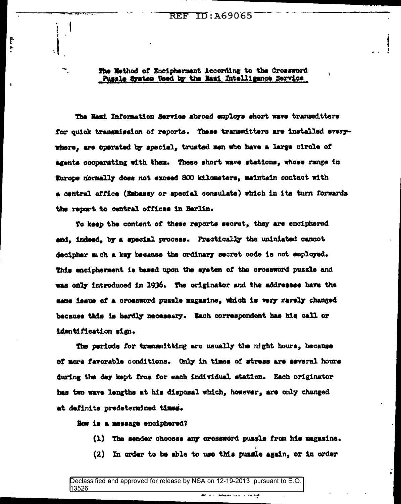The Method of Encipherment According to the Crossword Pussle System Used by the Nasi Intelligence Service

The Nami Information Service abroad employs short wave transmitters for quick transmission of reports. These transmitters are installed everywhere, are operated by special, trusted men who have a large circle of agents cooperating with them. These short wave stations, whose range in Europe normally does not exceed SOO kilometers, maintain contact with a central office (Embasey or special consulate) which in its turn forwards the report to central offices in Berlin.

To keep the content of these reports secret, they are enciphered and, indeed, by a special process. Practically the uniniated cannot decipher much a key because the ordinary secret code is not employed. This encipherment is based upon the system of the crossword pussle and was only introduced in 1936. The originator and the addressee have the same issue of a crossword pussle magasine, which is very rarely changed because this is hardly necessary. Each correspondent has his call or identification sign.

The periods for transmitting are usually the night hours, because of more favorable conditions. Only in times of stress are several hours during the day kept free for each individual station. Each originator has two wave lengths at his disposal which, however, are only changed at definite predetermined times.

Now is a message enciphered?

Ť

- (1) The sender chooses any crossword pussle from his magazine.
- (2) In order to be able to use this pussie again, or in order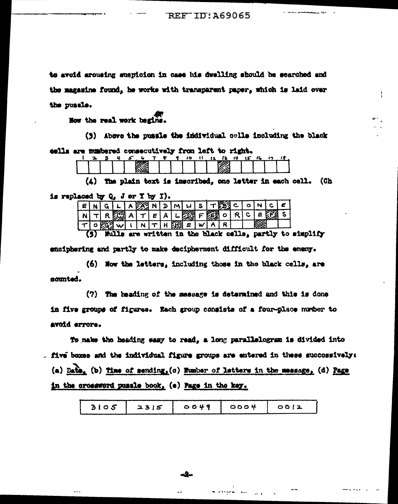**REF ID: A69065** 

to avoid arousing suspicion in case his dwelling should be searched and the magazine found, he works with transparent paper, which is laid over the pussle.

How the real work bagins.

(3) Above the pussie the individual cells including the black

eells are mumbered consecutively from left to right.

|  |  |   |  |  |   | . |  |  |
|--|--|---|--|--|---|---|--|--|
|  |  |   |  |  | m |   |  |  |
|  |  |   |  |  |   |   |  |  |
|  |  | . |  |  |   |   |  |  |

(4) The plain text is inscribed, one letter in each cell. (Ch

is replaced by Q. J or T by I).

|    |  | LA 25 NI. | íЪ.     | $\mathbf{M}^{\mathbf{L}}$ |                                 | $U   S   T \mathbb{S} \mathbb{S} \mathbb{S} \subset \mathbb{S}$ |   |          | N | $\ddot{\phantom{1}}$ |  |
|----|--|-----------|---------|---------------------------|---------------------------------|-----------------------------------------------------------------|---|----------|---|----------------------|--|
|    |  |           | $E$ $A$ |                           | 上頭下顔。                           |                                                                 | o | <b>C</b> |   |                      |  |
| ່ວ |  |           |         |                           | $N$ $T$ $H$ $H$ $H$ $g$ $g$ $g$ |                                                                 |   |          |   |                      |  |

(5) Nulls are written in the black cells, partly to simplify

enciphering and partly to make decipherment difficult for the enexy.

(6) Now the letters, including those in the black cells, are sounted.

(7) The heading of the message is determined and this is done in five groups of figures. Each group consists of a four-place number to avoid errors.

To nake the heading easy to read, a long parallelogram is divided into . Mre boxes and the individual figure groups are entered in these succossively: (a) Date, (b) time of sending, (c) Wumber of Latters in the message, (d) Page in the crossword pussle book, (e) Page in the key.

| 3105 | 2315 | 0.049 | 0004 | 0012 |
|------|------|-------|------|------|
|      |      |       |      |      |

سيوب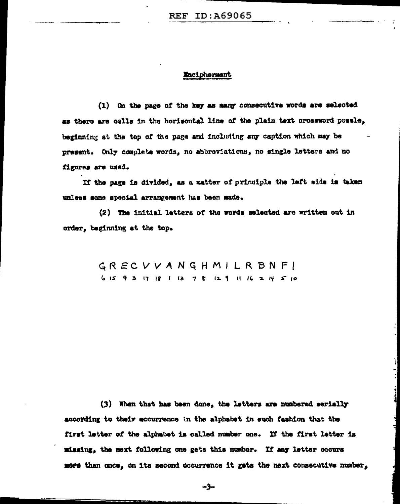## Macipherment

(1) On the page of the key as many consecutive words are selected as there are cells in the horisontal line of the plain text crossword possle. beginning at the top of the page and including any caption which may be present. Only complete words, no abbreviations, no single letters and no figures are used.

If the page is divided, as a matter of principle the left side is taken unless some special arrangement has been mude.

(2) The initial letters of the words selected are written out in order, beginning at the top.

> GRECVVANGHMILRBNF! 615 43 17 18 1 13 7 8 12 9 11 16 2 14 5 10

(3) When that has been done, the latters are numbered serially according to their accurrence in the alphabet in such fashion that the first letter of the alphabet is called number one. If the first letter is missing, the next following one gets this number. If any letter occurs more than once, on its second occurrence it gats the next consecutive number,

سۇپ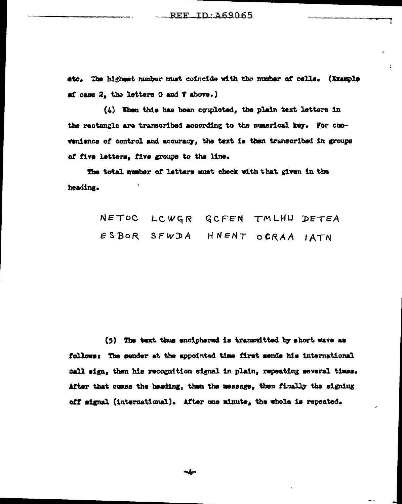etc. The highest number must coincide with the number of cells. (Example af case 2, the letters 0 and V above.)

(4) Then this has been coupleted, the plain text letters in the rectangle are transcribed according to the numerical key. For convenience of control and accuracy, the text is then transcribed in groups of five letters, five groups to the line.

The total number of letters must check with that given in the heading.

> NETOC LCWGR GCFEN TMLHU DETEA ESBOR SFWDA HNENT OCRAA IATN

(5) The text thus enciphered is transmitted by short wave as follows: The sender at the appointed time first sends his international call sign, then his recognition signal in plain, repeating several times. After that comes the heading, then the message, then finally the signing off signal (international). After one minute, the whole is repeated.

∼∱∽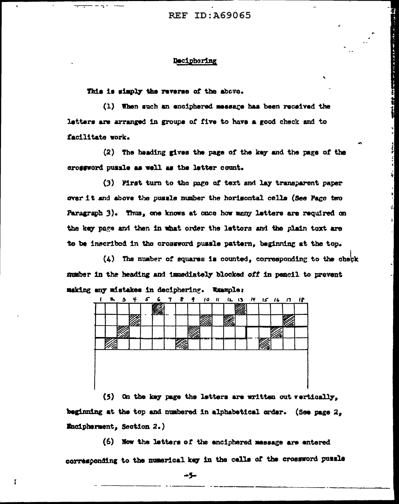**REF ID: 469065** 

## Deciphering

This is simply the reverse of the above.

(1) When such an enciphered message has been received the letters are arranged in groups of five to have a good check and to facilitate work.

<u>Hel Mr Hughe</u>

(2) The heading gives the page of the key and the page of the crossword pussle as well as the letter count.

(3) First turn to the page of text and lay transparent paper over it and above the pussle number the horisontal cells (See Page two Paragraph 3). Thus, one knows at once how many letters are required on the key page and then in what order the letters and the plain text are to be inscribed in the crossword pussle pattern, beginning at the top.

(4) The number of squares is counted, corresponding to the check number in the heading and immediately blocked off in pencil to prevent making any mistakes in deciphering. Wrample:

|        | m |  |        |              |  |  |              |  |
|--------|---|--|--------|--------------|--|--|--------------|--|
|        |   |  |        | ,,,,,        |  |  |              |  |
|        |   |  |        |              |  |  |              |  |
| ,,,,,, |   |  | .,,,,, | 医胃室下垂 计单位定义器 |  |  | <u>Ville</u> |  |

(5) On the key page the letters are written out vertically. beginning at the top and numbered in alphabetical order. (See page 2. Encipherment, Section 2.)

(6) Now the letters of the enciphered message are entered corresponding to the numerical key in the cells of the crossword pussle

≁5∼

 $\mathbf{I}$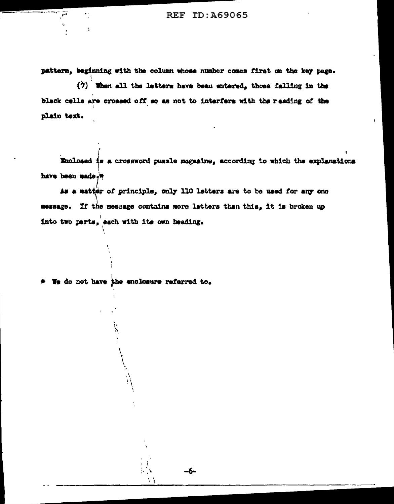pattern, beginning with the column whose number comes first on the key page.

 $(7)$  When all the latters have been entered, those falling in the black cells are crossed off so as not to interfere with the reading of the plain text.

Enclosed is a crossword pussle magasine, according to which the explanations have been made.<sup>\*</sup>

As a matter of principle, only 110 letters are to be used for any one message. If the message contains more letters than this, it is broken up into two parts, each with its own heading.

\* We do not have the enclosure referred to.

÷А

 $\sim$   $\lambda$ 

-6

٠.

 $\ddot{\cdot}$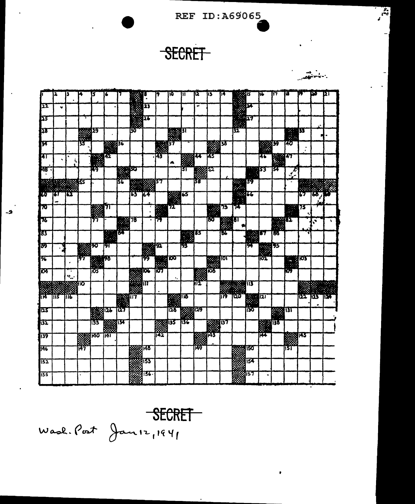REF ID:A69065

 $\mathbf{r}$ 

**SECRET** 

|                 | 2         | 13                             |        | 5             | G          |                      | <b>M</b> |              | 9                           | то                         | Ш                                             | IJ,              | 13  | 14              |                            |                 | iŀ.            | 17                           | w             | 17              | 50  | 121  |
|-----------------|-----------|--------------------------------|--------|---------------|------------|----------------------|----------|--------------|-----------------------------|----------------------------|-----------------------------------------------|------------------|-----|-----------------|----------------------------|-----------------|----------------|------------------------------|---------------|-----------------|-----|------|
| 122             | $\bullet$ |                                |        |               |            |                      |          | 23           |                             |                            |                                               | -                |     |                 |                            |                 |                |                              |               |                 |     |      |
| 区               |           |                                |        |               |            |                      |          | ञ्च          |                             |                            |                                               |                  |     |                 | 生産のマ                       |                 |                |                              |               |                 |     |      |
| þ3              |           |                                |        | 29            |            |                      | 50       |              |                             | <b>Rep</b>                 | ३१                                            |                  |     |                 | 32                         |                 |                |                              |               | Ш               |     |      |
| <b>I</b> F      |           |                                | 35     |               | 222336     |                      |          |              | $\mathcal{C}^{\mathcal{C}}$ | 137                        |                                               |                  |     | 133             |                            |                 | $\mathbb{R}^3$ | 39                           | 48            |                 |     |      |
| ļπ              | ٠         | Ā                              |        |               | 742        |                      |          |              | -143                        | ▲                          | 蠿                                             | 14               | 帶   |                 |                            |                 | 46             | <b>1999 47</b>               |               |                 |     |      |
| $\overline{AB}$ |           |                                |        | 79            |            | <b>RANGSO</b><br>Man |          |              |                             |                            | 31                                            |                  | 32  |                 |                            |                 | 153            | 134                          | $\mathcal{F}$ |                 |     |      |
| Ø               |           | 38835                          |        |               |            | 57                   |          | <b>NAMES</b> | 37                          |                            |                                               | 38               |     |                 | $\frac{39}{16}$            | 39              |                |                              |               |                 |     |      |
| 取り              | छा        | 162                            |        |               |            |                      | ïJ       | 64           |                             | $\frac{1}{2}$              | 65                                            |                  |     |                 | $\mathcal{L}(\mathcal{G})$ |                 |                |                              |               | 67              | w   |      |
| 70              |           |                                |        | <b>Bester</b> |            |                      |          |              | <b>Report</b>               |                            |                                               |                  |     | 73              | 74                         |                 |                |                              | 踩             | 75              |     |      |
| 75              |           |                                |        | 77            |            | <b>REAL</b>          | 78       |              | Ħ                           |                            |                                               |                  | IJσ | 躑               | IJТ                        |                 |                | <b>1959 82</b><br>- 33<br>×. |               |                 | h,  |      |
| 83              |           |                                |        |               |            |                      |          |              |                             |                            | $\mathcal{H}^{\prime}$<br>Y.                  | 133              |     | 56              |                            |                 | 157            | 66                           |               |                 |     |      |
| 两               |           |                                | 888990 |               | Ы          |                      |          |              | 阪                           |                            | 93                                            |                  |     |                 |                            | श्र             | <b>1992</b>    | 195                          |               |                 |     |      |
| 96              |           |                                | 97     | 图             | ŦЪ         |                      |          | 99           | 露                           | $\overline{\mathbf{c}}$    |                                               |                  |     | <b>TOV</b>      |                            |                 |                |                              |               | <b>Read Fox</b> |     |      |
| TO4             |           | ÷.<br>$\mathbf{v}_\mathrm{sc}$ |        | 鬱             |            |                      |          | KX.          | īОТ                         | $\bullet$                  |                                               | K.               |     |                 |                            |                 |                |                              | Ю             |                 |     |      |
|                 |           |                                | গ্ৰাত  |               |            |                      |          |              |                             |                            |                                               | गर               |     |                 | <b>Barbara</b>             | 113             |                |                              |               |                 |     |      |
| ਜ਼ਿਸ਼ੇ"         | Tiis      | mб                             |        |               |            | <b>1988 (17</b>      |          |              |                             | <b>Bassa</b> lius<br>Bassa |                                               |                  |     | ij\$            | עמון                       | 2               |                |                              |               | $\sum$          | 125 | TEX. |
| 123             |           |                                |        | 圞             | 阷          | 127                  |          |              |                             | 125                        | <b>March 1997</b><br>NGC 1998<br>NGC 1998 Viz |                  |     |                 |                            | ×<br><b>iso</b> |                | 31                           |               |                 |     |      |
| 132             |           |                                |        | 133           |            | एप                   |          |              |                             | 135                        | 136                                           |                  | 慈愛  | $\overline{37}$ |                            |                 | ж              | 138                          |               |                 |     |      |
| 139             |           |                                | 羉      | <b>140</b>    | <b>141</b> |                      |          |              | 142                         |                            |                                               | <b>RESIDENTS</b> |     |                 |                            |                 | 144            |                              |               | 1143            |     |      |
| 1146            |           |                                | i47    |               |            |                      |          | প্ৰাৰম       |                             |                            |                                               | 南                |     |                 |                            | हाड             |                |                              | 151           |                 |     |      |
| $\sqrt{52}$     |           |                                |        |               |            |                      |          | 155          |                             |                            |                                               |                  |     |                 |                            | ब्राडक          |                |                              |               |                 |     |      |
| 135             |           |                                |        |               |            |                      |          | 1136         |                             |                            |                                               |                  |     |                 |                            | 157             |                |                              |               |                 |     |      |

SECRET  $W$ ask. Post Jan 12, 1941

 $-2$